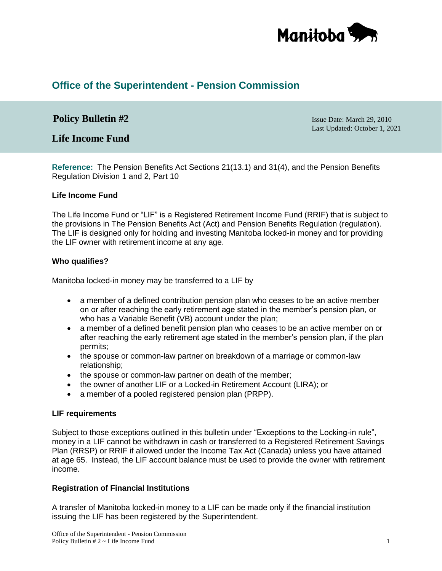

# **Office of the Superintendent - Pension Commission**

# **Policy Bulletin #2** Issue Date: March 29, 2010

**Life Income Fund**

Last Updated: October 1, 2021

**Reference:** The Pension Benefits Act Sections 21(13.1) and 31(4), and the Pension Benefits Regulation Division 1 and 2, Part 10

### **Life Income Fund**

The Life Income Fund or "LIF" is a Registered Retirement Income Fund (RRIF) that is subject to the provisions in The Pension Benefits Act (Act) and Pension Benefits Regulation (regulation). The LIF is designed only for holding and investing Manitoba locked-in money and for providing the LIF owner with retirement income at any age.

## **Who qualifies?**

Manitoba locked-in money may be transferred to a LIF by

- a member of a defined contribution pension plan who ceases to be an active member on or after reaching the early retirement age stated in the member's pension plan, or who has a Variable Benefit (VB) account under the plan;
- a member of a defined benefit pension plan who ceases to be an active member on or after reaching the early retirement age stated in the member's pension plan, if the plan permits;
- the spouse or common-law partner on breakdown of a marriage or common-law relationship;
- the spouse or common-law partner on death of the member;
- the owner of another LIF or a Locked-in Retirement Account (LIRA); or
- a member of a pooled registered pension plan (PRPP).

### **LIF requirements**

Subject to those exceptions outlined in this bulletin under "Exceptions to the Locking-in rule", money in a LIF cannot be withdrawn in cash or transferred to a Registered Retirement Savings Plan (RRSP) or RRIF if allowed under the Income Tax Act (Canada) unless you have attained at age 65. Instead, the LIF account balance must be used to provide the owner with retirement income.

# **Registration of Financial Institutions**

A transfer of Manitoba locked-in money to a LIF can be made only if the financial institution issuing the LIF has been registered by the Superintendent.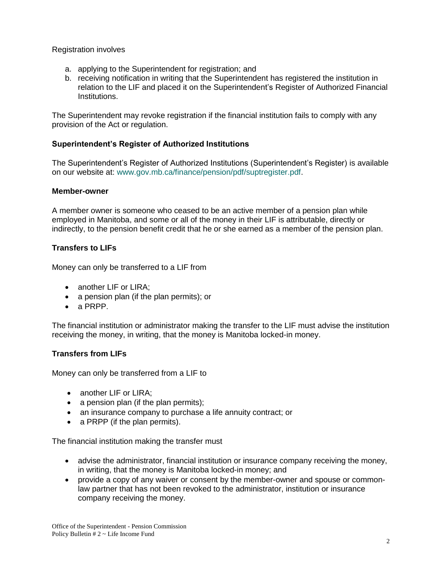Registration involves

- a. applying to the Superintendent for registration; and
- b. receiving notification in writing that the Superintendent has registered the institution in relation to the LIF and placed it on the Superintendent's Register of Authorized Financial Institutions.

The Superintendent may revoke registration if the financial institution fails to comply with any provision of the Act or regulation.

# **Superintendent's Register of Authorized Institutions**

The Superintendent's Register of Authorized Institutions (Superintendent's Register) is available on our website at: [www.gov.mb.ca/finance/pension/pdf/suptregister.pdf.](https://gov.mb.ca/finance/pension/pdf/suptregister.pdf)

# **Member-owner**

A member owner is someone who ceased to be an active member of a pension plan while employed in Manitoba, and some or all of the money in their LIF is attributable, directly or indirectly, to the pension benefit credit that he or she earned as a member of the pension plan.

# **Transfers to LIFs**

Money can only be transferred to a LIF from

- another LIF or LIRA:
- a pension plan (if the plan permits); or
- a PRPP.

The financial institution or administrator making the transfer to the LIF must advise the institution receiving the money, in writing, that the money is Manitoba locked-in money.

# **Transfers from LIFs**

Money can only be transferred from a LIF to

- another LIF or LIRA;
- $\bullet$  a pension plan (if the plan permits);
- an insurance company to purchase a life annuity contract; or
- a PRPP (if the plan permits).

The financial institution making the transfer must

- advise the administrator, financial institution or insurance company receiving the money, in writing, that the money is Manitoba locked-in money; and
- provide a copy of any waiver or consent by the member-owner and spouse or commonlaw partner that has not been revoked to the administrator, institution or insurance company receiving the money.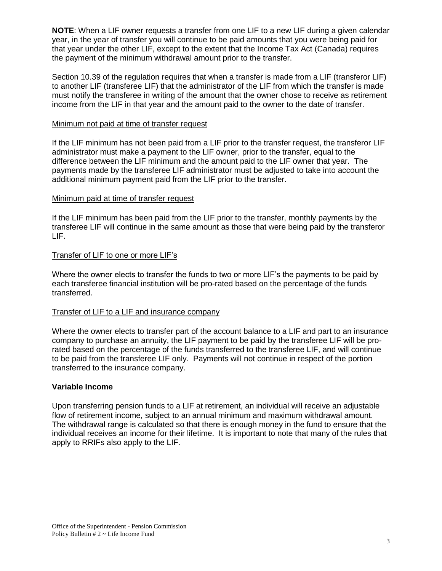**NOTE**: When a LIF owner requests a transfer from one LIF to a new LIF during a given calendar year, in the year of transfer you will continue to be paid amounts that you were being paid for that year under the other LIF, except to the extent that the Income Tax Act (Canada) requires the payment of the minimum withdrawal amount prior to the transfer.

Section 10.39 of the regulation requires that when a transfer is made from a LIF (transferor LIF) to another LIF (transferee LIF) that the administrator of the LIF from which the transfer is made must notify the transferee in writing of the amount that the owner chose to receive as retirement income from the LIF in that year and the amount paid to the owner to the date of transfer.

## Minimum not paid at time of transfer request

If the LIF minimum has not been paid from a LIF prior to the transfer request, the transferor LIF administrator must make a payment to the LIF owner, prior to the transfer, equal to the difference between the LIF minimum and the amount paid to the LIF owner that year. The payments made by the transferee LIF administrator must be adjusted to take into account the additional minimum payment paid from the LIF prior to the transfer.

# Minimum paid at time of transfer request

If the LIF minimum has been paid from the LIF prior to the transfer, monthly payments by the transferee LIF will continue in the same amount as those that were being paid by the transferor LIF.

## Transfer of LIF to one or more LIF's

Where the owner elects to transfer the funds to two or more LIF's the payments to be paid by each transferee financial institution will be pro-rated based on the percentage of the funds transferred.

### Transfer of LIF to a LIF and insurance company

Where the owner elects to transfer part of the account balance to a LIF and part to an insurance company to purchase an annuity, the LIF payment to be paid by the transferee LIF will be prorated based on the percentage of the funds transferred to the transferee LIF, and will continue to be paid from the transferee LIF only. Payments will not continue in respect of the portion transferred to the insurance company.

# **Variable Income**

Upon transferring pension funds to a LIF at retirement, an individual will receive an adjustable flow of retirement income, subject to an annual minimum and maximum withdrawal amount. The withdrawal range is calculated so that there is enough money in the fund to ensure that the individual receives an income for their lifetime. It is important to note that many of the rules that apply to RRIFs also apply to the LIF.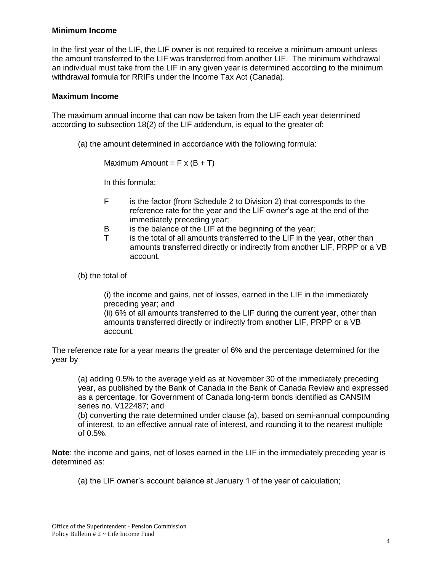## **Minimum Income**

In the first year of the LIF, the LIF owner is not required to receive a minimum amount unless the amount transferred to the LIF was transferred from another LIF. The minimum withdrawal an individual must take from the LIF in any given year is determined according to the minimum withdrawal formula for RRIFs under the Income Tax Act (Canada).

## **Maximum Income**

The maximum annual income that can now be taken from the LIF each year determined according to subsection 18(2) of the LIF addendum, is equal to the greater of:

(a) the amount determined in accordance with the following formula:

Maximum Amount =  $F x (B + T)$ 

In this formula:

- F is the factor (from Schedule 2 to Division 2) that corresponds to the reference rate for the year and the LIF owner's age at the end of the immediately preceding year;
- B is the balance of the LIF at the beginning of the year;
- T is the total of all amounts transferred to the LIF in the year, other than amounts transferred directly or indirectly from another LIF, PRPP or a VB account.

(b) the total of

(i) the income and gains, net of losses, earned in the LIF in the immediately preceding year; and

(ii) 6% of all amounts transferred to the LIF during the current year, other than amounts transferred directly or indirectly from another LIF, PRPP or a VB account.

The reference rate for a year means the greater of 6% and the percentage determined for the year by

(a) adding 0.5% to the average yield as at November 30 of the immediately preceding year, as published by the Bank of Canada in the Bank of Canada Review and expressed as a percentage, for Government of Canada long-term bonds identified as CANSIM series no. V122487; and (b) converting the rate determined under clause (a), based on semi-annual compounding of interest, to an effective annual rate of interest, and rounding it to the nearest multiple

of 0.5%.

**Note**: the income and gains, net of loses earned in the LIF in the immediately preceding year is determined as:

(a) the LIF owner's account balance at January 1 of the year of calculation;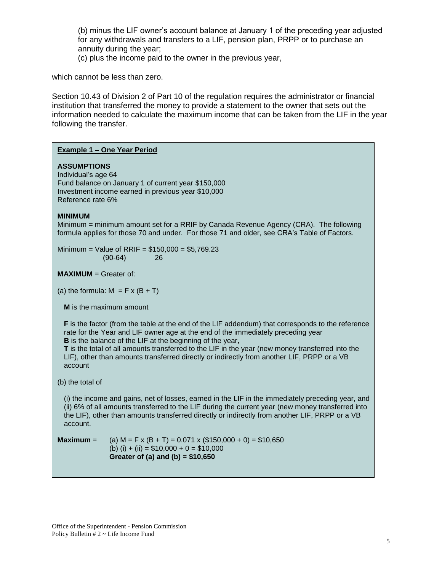(b) minus the LIF owner's account balance at January 1 of the preceding year adjusted for any withdrawals and transfers to a LIF, pension plan, PRPP or to purchase an annuity during the year;

(c) plus the income paid to the owner in the previous year,

which cannot be less than zero.

Section 10.43 of Division 2 of Part 10 of the regulation requires the administrator or financial institution that transferred the money to provide a statement to the owner that sets out the information needed to calculate the maximum income that can be taken from the LIF in the year following the transfer.

### **Example 1 – One Year Period**

#### **ASSUMPTIONS**

Individual's age 64 Fund balance on January 1 of current year \$150,000 Investment income earned in previous year \$10,000 Reference rate 6%

#### **MINIMUM**

Minimum = minimum amount set for a RRIF by Canada Revenue Agency (CRA). The following formula applies for those 70 and under. For those 71 and older, see CRA's Table of Factors.

Minimum =  $Value of RRIF = $150,000 = $5,769.23$ (90-64) 26

**MAXIMUM** = Greater of:

(a) the formula:  $M = F \times (B + T)$ 

**M** is the maximum amount

**F** is the factor (from the table at the end of the LIF addendum) that corresponds to the reference rate for the Year and LIF owner age at the end of the immediately preceding year **B** is the balance of the LIF at the beginning of the year,

**T** is the total of all amounts transferred to the LIF in the year (new money transferred into the LIF), other than amounts transferred directly or indirectly from another LIF, PRPP or a VB account

(b) the total of

(i) the income and gains, net of losses, earned in the LIF in the immediately preceding year, and (ii) 6% of all amounts transferred to the LIF during the current year (new money transferred into the LIF), other than amounts transferred directly or indirectly from another LIF, PRPP or a VB account.

**Maximum** = (a)  $M = F x (B + T) = 0.071 x (150,000 + 0) = 10,650$ (b) (i) + (ii) =  $$10,000 + 0 = $10,000$ **Greater of (a) and (b) = \$10,650**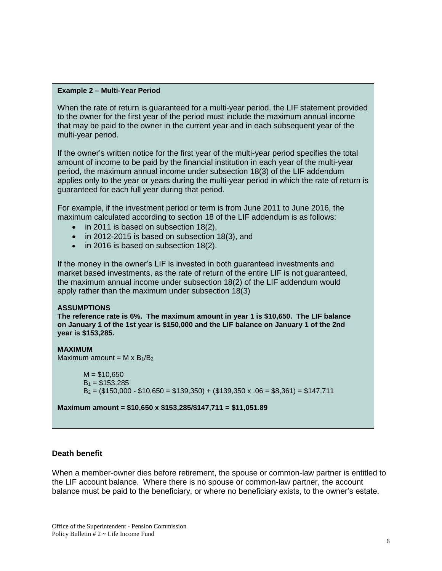#### **Example 2 – Multi-Year Period**

When the rate of return is guaranteed for a multi-year period, the LIF statement provided to the owner for the first year of the period must include the maximum annual income that may be paid to the owner in the current year and in each subsequent year of the multi-year period.

If the owner's written notice for the first year of the multi-year period specifies the total amount of income to be paid by the financial institution in each year of the multi-year period, the maximum annual income under subsection 18(3) of the LIF addendum applies only to the year or years during the multi-year period in which the rate of return is guaranteed for each full year during that period.

For example, if the investment period or term is from June 2011 to June 2016, the maximum calculated according to section 18 of the LIF addendum is as follows:

- in 2011 is based on subsection 18(2),
- in 2012-2015 is based on subsection 18(3), and
- in 2016 is based on subsection 18(2).

If the money in the owner's LIF is invested in both guaranteed investments and market based investments, as the rate of return of the entire LIF is not guaranteed, the maximum annual income under subsection 18(2) of the LIF addendum would apply rather than the maximum under subsection 18(3)

### **ASSUMPTIONS**

**The reference rate is 6%. The maximum amount in year 1 is \$10,650. The LIF balance on January 1 of the 1st year is \$150,000 and the LIF balance on January 1 of the 2nd year is \$153,285.**

# **MAXIMUM** Maximum amount =  $M \times B_1/B_2$  $M = $10,650$  $B_1 = $153.285$

 $B_2 = (\$150,000 - \$10,650 = \$139,350) + (\$139,350 \times .06 = \$8,361) = \$147,711$ 

**Maximum amount = \$10,650 x \$153,285/\$147,711 = \$11,051.89**

# **Death benefit**

When a member-owner dies before retirement, the spouse or common-law partner is entitled to the LIF account balance. Where there is no spouse or common-law partner, the account balance must be paid to the beneficiary, or where no beneficiary exists, to the owner's estate.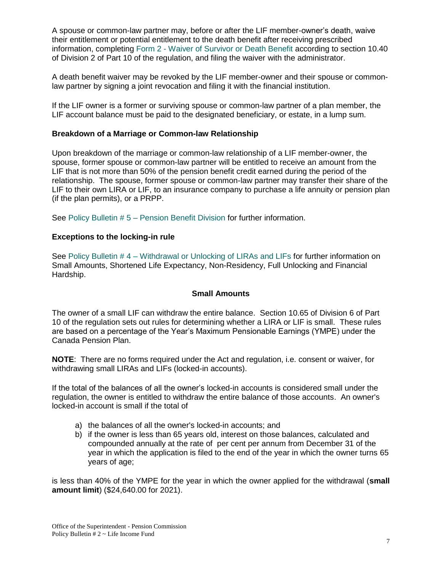A spouse or common-law partner may, before or after the LIF member-owner's death, waive their entitlement or potential entitlement to the death benefit after receiving prescribed information, completing Form 2 - [Waiver of Survivor or Death Benefit](https://www.gov.mb.ca/finance/pension/pdf/form2_deathbenefitwaiver.pdf) according to section 10.40 of Division 2 of Part 10 of the regulation, and filing the waiver with the administrator.

A death benefit waiver may be revoked by the LIF member-owner and their spouse or commonlaw partner by signing a joint revocation and filing it with the financial institution.

If the LIF owner is a former or surviving spouse or common-law partner of a plan member, the LIF account balance must be paid to the designated beneficiary, or estate, in a lump sum.

# **Breakdown of a Marriage or Common-law Relationship**

Upon breakdown of the marriage or common-law relationship of a LIF member-owner, the spouse, former spouse or common-law partner will be entitled to receive an amount from the LIF that is not more than 50% of the pension benefit credit earned during the period of the relationship. The spouse, former spouse or common-law partner may transfer their share of the LIF to their own LIRA or LIF, to an insurance company to purchase a life annuity or pension plan (if the plan permits), or a PRPP.

See Policy Bulletin # 5 – [Pension Benefit Division](https://www.gov.mb.ca/finance/pension/pdf/bulletin5_2021.pdf) for further information.

## **Exceptions to the locking-in rule**

See Policy Bulletin # 4 – [Withdrawal or Unlocking of LIRAs and LIFs](https://www.gov.mb.ca/finance/pension/pdf/bulletin4_2021.pdf) for further information on Small Amounts, Shortened Life Expectancy, Non-Residency, Full Unlocking and Financial Hardship.

# **Small Amounts**

The owner of a small LIF can withdraw the entire balance. Section 10.65 of Division 6 of Part 10 of the regulation sets out rules for determining whether a LIRA or LIF is small. These rules are based on a percentage of the Year's Maximum Pensionable Earnings (YMPE) under the Canada Pension Plan.

**NOTE**: There are no forms required under the Act and regulation, i.e. consent or waiver, for withdrawing small LIRAs and LIFs (locked-in accounts).

If the total of the balances of all the owner's locked-in accounts is considered small under the regulation, the owner is entitled to withdraw the entire balance of those accounts. An owner's locked-in account is small if the total of

- a) the balances of all the owner's locked-in accounts; and
- b) if the owner is less than 65 years old, interest on those balances, calculated and compounded annually at the rate of per cent per annum from December 31 of the year in which the application is filed to the end of the year in which the owner turns 65 years of age;

is less than 40% of the YMPE for the year in which the owner applied for the withdrawal (**small amount limit**) (\$24,640.00 for 2021).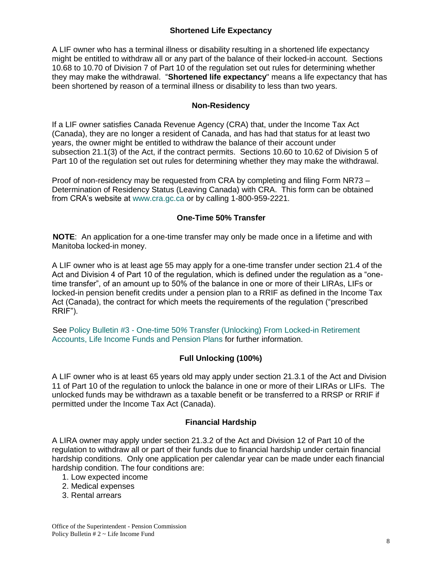# **Shortened Life Expectancy**

A LIF owner who has a terminal illness or disability resulting in a shortened life expectancy might be entitled to withdraw all or any part of the balance of their locked-in account. Sections 10.68 to 10.70 of Division 7 of Part 10 of the regulation set out rules for determining whether they may make the withdrawal. "**Shortened life expectancy**" means a life expectancy that has been shortened by reason of a terminal illness or disability to less than two years.

# **Non-Residency**

If a LIF owner satisfies Canada Revenue Agency (CRA) that, under the Income Tax Act (Canada), they are no longer a resident of Canada, and has had that status for at least two years, the owner might be entitled to withdraw the balance of their account under subsection 21.1(3) of the Act, if the contract permits. Sections 10.60 to 10.62 of Division 5 of Part 10 of the regulation set out rules for determining whether they may make the withdrawal.

Proof of non-residency may be requested from CRA by completing and filing Form NR73 – Determination of Residency Status (Leaving Canada) with CRA. This form can be obtained from CRA's website at [www.cra.gc.ca](file://///ME/lab/112labWGP/LABPEN/Debbie/Bulletins/www.cra.gc.ca) or by calling 1-800-959-2221.

# **One-Time 50% Transfer**

**NOTE**: An application for a one-time transfer may only be made once in a lifetime and with Manitoba locked-in money.

A LIF owner who is at least age 55 may apply for a one-time transfer under section 21.4 of the Act and Division 4 of Part 10 of the regulation, which is defined under the regulation as a "onetime transfer", of an amount up to 50% of the balance in one or more of their LIRAs, LIFs or locked-in pension benefit credits under a pension plan to a RRIF as defined in the Income Tax Act (Canada), the contract for which meets the requirements of the regulation ("prescribed RRIF").

See Policy Bulletin #3 - One-time 50*%* [Transfer \(Unlocking\) From Locked-in Retirement](https://www.gov.mb.ca/finance/pension/pdf/bulletin3_2021.pdf)  [Accounts, Life Income Funds and Pension Plans](https://www.gov.mb.ca/finance/pension/pdf/bulletin3_2021.pdf) for further information.

# **Full Unlocking (100%)**

A LIF owner who is at least 65 years old may apply under section 21.3.1 of the Act and Division 11 of Part 10 of the regulation to unlock the balance in one or more of their LIRAs or LIFs. The unlocked funds may be withdrawn as a taxable benefit or be transferred to a RRSP or RRIF if permitted under the Income Tax Act (Canada).

# **Financial Hardship**

A LIRA owner may apply under section 21.3.2 of the Act and Division 12 of Part 10 of the regulation to withdraw all or part of their funds due to financial hardship under certain financial hardship conditions. Only one application per calendar year can be made under each financial hardship condition. The four conditions are:

- 1. Low expected income
- 2. Medical expenses
- 3. Rental arrears